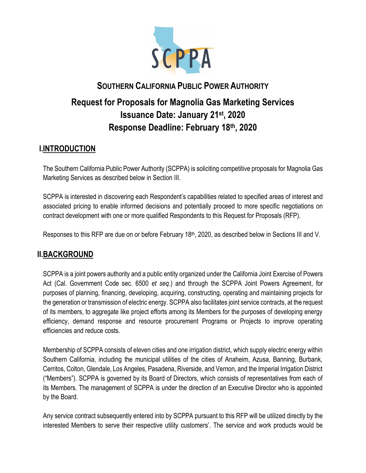

# **SOUTHERN CALIFORNIA PUBLIC POWER AUTHORITY Request for Proposals for Magnolia Gas Marketing Services Issuance Date: January 21st , 2020 Response Deadline: February 18th, 2020**

## **I.INTRODUCTION**

The Southern California Public Power Authority (SCPPA) is soliciting competitive proposals for Magnolia Gas Marketing Services as described below in Section III.

SCPPA is interested in discovering each Respondent's capabilities related to specified areas of interest and associated pricing to enable informed decisions and potentially proceed to more specific negotiations on contract development with one or more qualified Respondents to this Request for Proposals (RFP).

Responses to this RFP are due on or before February 18<sup>th</sup>, 2020, as described below in Sections III and V.

# **II.BACKGROUND**

SCPPA is a joint powers authority and a public entity organized under the California Joint Exercise of Powers Act (Cal. Government Code sec. 6500 *et seq.*) and through the SCPPA Joint Powers Agreement, for purposes of planning, financing, developing, acquiring, constructing, operating and maintaining projects for the generation or transmission of electric energy. SCPPA also facilitates joint service contracts, at the request of its members, to aggregate like project efforts among its Members for the purposes of developing energy efficiency, demand response and resource procurement Programs or Projects to improve operating efficiencies and reduce costs.

Membership of SCPPA consists of eleven cities and one irrigation district, which supply electric energy within Southern California, including the municipal utilities of the cities of Anaheim, Azusa, Banning, Burbank, Cerritos, Colton, Glendale, Los Angeles, Pasadena, Riverside, and Vernon, and the Imperial Irrigation District ("Members"). SCPPA is governed by its Board of Directors, which consists of representatives from each of its Members. The management of SCPPA is under the direction of an Executive Director who is appointed by the Board.

Any service contract subsequently entered into by SCPPA pursuant to this RFP will be utilized directly by the interested Members to serve their respective utility customers'. The service and work products would be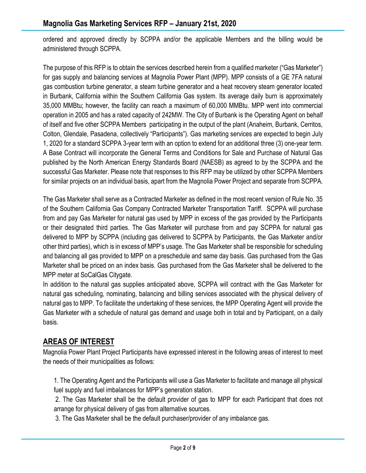ordered and approved directly by SCPPA and/or the applicable Members and the billing would be administered through SCPPA.

The purpose of this RFP is to obtain the services described herein from a qualified marketer ("Gas Marketer") for gas supply and balancing services at Magnolia Power Plant (MPP). MPP consists of a GE 7FA natural gas combustion turbine generator, a steam turbine generator and a heat recovery steam generator located in Burbank, California within the Southern California Gas system. Its average daily burn is approximately 35,000 MMBtu; however, the facility can reach a maximum of 60,000 MMBtu. MPP went into commercial operation in 2005 and has a rated capacity of 242MW. The City of Burbank is the Operating Agent on behalf of itself and five other SCPPA Members participating in the output of the plant (Anaheim, Burbank, Cerritos, Colton, Glendale, Pasadena, collectively "Participants"). Gas marketing services are expected to begin July 1, 2020 for a standard SCPPA 3-year term with an option to extend for an additional three (3) one-year term. A Base Contract will incorporate the General Terms and Conditions for Sale and Purchase of Natural Gas published by the North American Energy Standards Board (NAESB) as agreed to by the SCPPA and the successful Gas Marketer. Please note that responses to this RFP may be utilized by other SCPPA Members for similar projects on an individual basis, apart from the Magnolia Power Project and separate from SCPPA.

The Gas Marketer shall serve as a Contracted Marketer as defined in the most recent version of Rule No. 35 of the Southern California Gas Company Contracted Marketer Transportation Tariff. SCPPA will purchase from and pay Gas Marketer for natural gas used by MPP in excess of the gas provided by the Participants or their designated third parties. The Gas Marketer will purchase from and pay SCPPA for natural gas delivered to MPP by SCPPA (including gas delivered to SCPPA by Participants, the Gas Marketer and/or other third parties), which is in excess of MPP's usage. The Gas Marketer shall be responsible for scheduling and balancing all gas provided to MPP on a preschedule and same day basis. Gas purchased from the Gas Marketer shall be priced on an index basis. Gas purchased from the Gas Marketer shall be delivered to the MPP meter at SoCalGas Citygate.

In addition to the natural gas supplies anticipated above, SCPPA will contract with the Gas Marketer for natural gas scheduling, nominating, balancing and billing services associated with the physical delivery of natural gas to MPP. To facilitate the undertaking of these services, the MPP Operating Agent will provide the Gas Marketer with a schedule of natural gas demand and usage both in total and by Participant, on a daily basis.

# **AREAS OF INTEREST**

Magnolia Power Plant Project Participants have expressed interest in the following areas of interest to meet the needs of their municipalities as follows:

1. The Operating Agent and the Participants will use a Gas Marketer to facilitate and manage all physical fuel supply and fuel imbalances for MPP's generation station.

2. The Gas Marketer shall be the default provider of gas to MPP for each Participant that does not arrange for physical delivery of gas from alternative sources.

3. The Gas Marketer shall be the default purchaser/provider of any imbalance gas.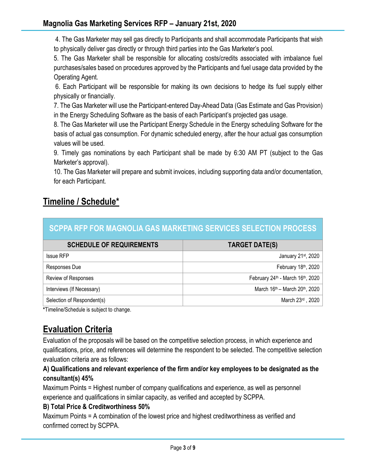4. The Gas Marketer may sell gas directly to Participants and shall accommodate Participants that wish to physically deliver gas directly or through third parties into the Gas Marketer's pool.

5. The Gas Marketer shall be responsible for allocating costs/credits associated with imbalance fuel purchases/sales based on procedures approved by the Participants and fuel usage data provided by the Operating Agent.

6. Each Participant will be responsible for making its own decisions to hedge its fuel supply either physically or financially.

7. The Gas Marketer will use the Participant-entered Day-Ahead Data (Gas Estimate and Gas Provision) in the Energy Scheduling Software as the basis of each Participant's projected gas usage.

8. The Gas Marketer will use the Participant Energy Schedule in the Energy scheduling Software for the basis of actual gas consumption. For dynamic scheduled energy, after the hour actual gas consumption values will be used.

9. Timely gas nominations by each Participant shall be made by 6:30 AM PT (subject to the Gas Marketer's approval).

10. The Gas Marketer will prepare and submit invoices, including supporting data and/or documentation, for each Participant.

# **Timeline / Schedule\***

| SCPPA RFP FOR MAGNOLIA GAS MARKETING SERVICES SELECTION PROCESS |  |
|-----------------------------------------------------------------|--|
|                                                                 |  |

| <b>SCHEDULE OF REQUIREMENTS</b> | <b>TARGET DATE(S)</b>                                  |  |
|---------------------------------|--------------------------------------------------------|--|
| <b>Issue RFP</b>                | January 21 <sup>st</sup> , 2020                        |  |
| Responses Due                   | February 18th, 2020                                    |  |
| Review of Responses             | February 24th - March 16th, 2020                       |  |
| Interviews (If Necessary)       | March 16 <sup>th</sup> – March 20 <sup>th</sup> , 2020 |  |
| Selection of Respondent(s)      | March 23rd, 2020                                       |  |

**\***Timeline/Schedule is subject to change.

# **Evaluation Criteria**

Evaluation of the proposals will be based on the competitive selection process, in which experience and qualifications, price, and references will determine the respondent to be selected. The competitive selection evaluation criteria are as follows:

## **A) Qualifications and relevant experience of the firm and/or key employees to be designated as the consultant(s) 45%**

Maximum Points = Highest number of company qualifications and experience, as well as personnel experience and qualifications in similar capacity, as verified and accepted by SCPPA.

## **B) Total Price & Creditworthiness 50%**

Maximum Points = A combination of the lowest price and highest creditworthiness as verified and confirmed correct by SCPPA.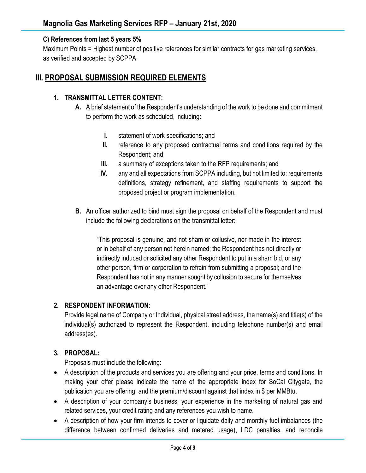#### **C) References from last 5 years 5%**

Maximum Points = Highest number of positive references for similar contracts for gas marketing services, as verified and accepted by SCPPA.

## **III. PROPOSAL SUBMISSION REQUIRED ELEMENTS**

#### **1. TRANSMITTAL LETTER CONTENT:**

- **A.** A brief statement of the Respondent's understanding of the work to be done and commitment to perform the work as scheduled, including:
	- **I.** statement of work specifications; and
	- **II.** reference to any proposed contractual terms and conditions required by the Respondent; and
	- **III.** a summary of exceptions taken to the RFP requirements; and
	- **IV.** any and all expectations from SCPPA including, but not limited to: requirements definitions, strategy refinement, and staffing requirements to support the proposed project or program implementation.
- **B.** An officer authorized to bind must sign the proposal on behalf of the Respondent and must include the following declarations on the transmittal letter:

"This proposal is genuine, and not sham or collusive, nor made in the interest or in behalf of any person not herein named; the Respondent has not directly or indirectly induced or solicited any other Respondent to put in a sham bid, or any other person, firm or corporation to refrain from submitting a proposal; and the Respondent has not in any manner sought by collusion to secure for themselves an advantage over any other Respondent."

#### **2. RESPONDENT INFORMATION**:

Provide legal name of Company or Individual, physical street address, the name(s) and title(s) of the individual(s) authorized to represent the Respondent, including telephone number(s) and email address(es).

### **3. PROPOSAL:**

Proposals must include the following:

- A description of the products and services you are offering and your price, terms and conditions. In making your offer please indicate the name of the appropriate index for SoCal Citygate, the publication you are offering, and the premium/discount against that index in \$ per MMBtu.
- A description of your company's business, your experience in the marketing of natural gas and related services, your credit rating and any references you wish to name.
- A description of how your firm intends to cover or liquidate daily and monthly fuel imbalances (the difference between confirmed deliveries and metered usage), LDC penalties, and reconcile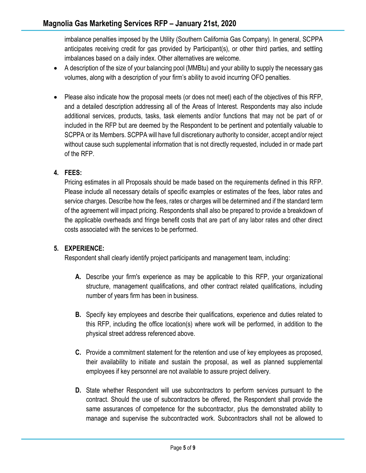imbalance penalties imposed by the Utility (Southern California Gas Company). In general, SCPPA anticipates receiving credit for gas provided by Participant(s), or other third parties, and settling imbalances based on a daily index. Other alternatives are welcome.

- A description of the size of your balancing pool (MMBtu) and your ability to supply the necessary gas volumes, along with a description of your firm's ability to avoid incurring OFO penalties.
- Please also indicate how the proposal meets (or does not meet) each of the objectives of this RFP, and a detailed description addressing all of the Areas of Interest. Respondents may also include additional services, products, tasks, task elements and/or functions that may not be part of or included in the RFP but are deemed by the Respondent to be pertinent and potentially valuable to SCPPA or its Members. SCPPA will have full discretionary authority to consider, accept and/or reject without cause such supplemental information that is not directly requested, included in or made part of the RFP.

## **4. FEES:**

Pricing estimates in all Proposals should be made based on the requirements defined in this RFP. Please include all necessary details of specific examples or estimates of the fees, labor rates and service charges. Describe how the fees, rates or charges will be determined and if the standard term of the agreement will impact pricing. Respondents shall also be prepared to provide a breakdown of the applicable overheads and fringe benefit costs that are part of any labor rates and other direct costs associated with the services to be performed.

### **5. EXPERIENCE:**

Respondent shall clearly identify project participants and management team, including:

- **A.** Describe your firm's experience as may be applicable to this RFP, your organizational structure, management qualifications, and other contract related qualifications, including number of years firm has been in business.
- **B.** Specify key employees and describe their qualifications, experience and duties related to this RFP, including the office location(s) where work will be performed, in addition to the physical street address referenced above.
- **C.** Provide a commitment statement for the retention and use of key employees as proposed, their availability to initiate and sustain the proposal, as well as planned supplemental employees if key personnel are not available to assure project delivery.
- **D.** State whether Respondent will use subcontractors to perform services pursuant to the contract. Should the use of subcontractors be offered, the Respondent shall provide the same assurances of competence for the subcontractor, plus the demonstrated ability to manage and supervise the subcontracted work. Subcontractors shall not be allowed to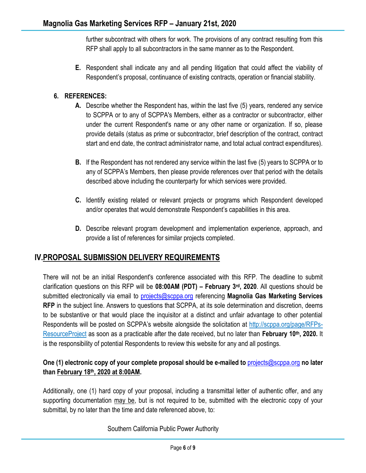further subcontract with others for work. The provisions of any contract resulting from this RFP shall apply to all subcontractors in the same manner as to the Respondent.

**E.** Respondent shall indicate any and all pending litigation that could affect the viability of Respondent's proposal, continuance of existing contracts, operation or financial stability.

### **6. REFERENCES:**

- **A.** Describe whether the Respondent has, within the last five (5) years, rendered any service to SCPPA or to any of SCPPA's Members, either as a contractor or subcontractor, either under the current Respondent's name or any other name or organization. If so, please provide details (status as prime or subcontractor, brief description of the contract, contract start and end date, the contract administrator name, and total actual contract expenditures).
- **B.** If the Respondent has not rendered any service within the last five (5) years to SCPPA or to any of SCPPA's Members, then please provide references over that period with the details described above including the counterparty for which services were provided.
- **C.** Identify existing related or relevant projects or programs which Respondent developed and/or operates that would demonstrate Respondent's capabilities in this area.
- **D.** Describe relevant program development and implementation experience, approach, and provide a list of references for similar projects completed.

# **IV.PROPOSAL SUBMISSION DELIVERY REQUIREMENTS**

There will not be an initial Respondent's conference associated with this RFP. The deadline to submit clarification questions on this RFP will be **08:00AM (PDT) – February 3rd, 2020**. All questions should be submitted electronically via email to [projects@scppa.org](mailto:Projects@scppa.org?subject=Magnolia%20Gas%20Marketing%20Services%20RFP) referencing **Magnolia Gas Marketing Services RFP** in the subject line. Answers to questions that SCPPA, at its sole determination and discretion, deems to be substantive or that would place the inquisitor at a distinct and unfair advantage to other potential Respondents will be posted on SCPPA's website alongside the solicitation at [http://scppa.org/page/RFPs-](http://scppa.org/page/RFPs-ResourceProject)[ResourceProject](http://scppa.org/page/RFPs-ResourceProject) as soon as a practicable after the date received, but no later than **February 10th, 2020.** It is the responsibility of potential Respondents to review this website for any and all postings.

### **One (1) electronic copy of your complete proposal should be e-mailed to** [projects@scppa.org](mailto:projects@scppa.org?subject=Gas%20Marketing%20Services%20RFP) **no later than February 18 th, 2020 at 8:00AM.**

Additionally, one (1) hard copy of your proposal, including a transmittal letter of authentic offer, and any supporting documentation may be, but is not required to be, submitted with the electronic copy of your submittal, by no later than the time and date referenced above, to:

Southern California Public Power Authority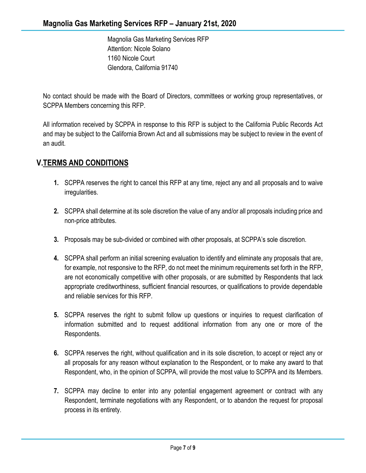Magnolia Gas Marketing Services RFP Attention: Nicole Solano 1160 Nicole Court Glendora, California 91740

No contact should be made with the Board of Directors, committees or working group representatives, or SCPPA Members concerning this RFP.

All information received by SCPPA in response to this RFP is subject to the California Public Records Act and may be subject to the California Brown Act and all submissions may be subject to review in the event of an audit.

# **V.TERMS AND CONDITIONS**

- **1.** SCPPA reserves the right to cancel this RFP at any time, reject any and all proposals and to waive irregularities.
- **2.** SCPPA shall determine at its sole discretion the value of any and/or all proposals including price and non-price attributes.
- **3.** Proposals may be sub-divided or combined with other proposals, at SCPPA's sole discretion.
- **4.** SCPPA shall perform an initial screening evaluation to identify and eliminate any proposals that are, for example, not responsive to the RFP, do not meet the minimum requirements set forth in the RFP, are not economically competitive with other proposals, or are submitted by Respondents that lack appropriate creditworthiness, sufficient financial resources, or qualifications to provide dependable and reliable services for this RFP.
- **5.** SCPPA reserves the right to submit follow up questions or inquiries to request clarification of information submitted and to request additional information from any one or more of the Respondents.
- **6.** SCPPA reserves the right, without qualification and in its sole discretion, to accept or reject any or all proposals for any reason without explanation to the Respondent, or to make any award to that Respondent, who, in the opinion of SCPPA, will provide the most value to SCPPA and its Members.
- **7.** SCPPA may decline to enter into any potential engagement agreement or contract with any Respondent, terminate negotiations with any Respondent, or to abandon the request for proposal process in its entirety.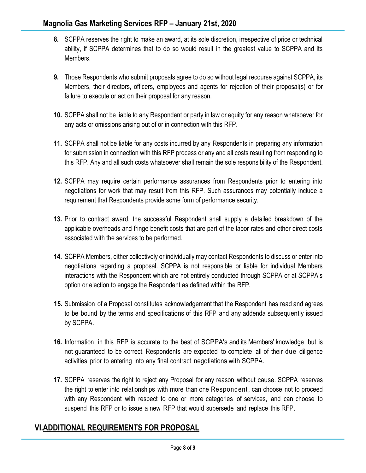- **8.** SCPPA reserves the right to make an award, at its sole discretion, irrespective of price or technical ability, if SCPPA determines that to do so would result in the greatest value to SCPPA and its Members.
- **9.** Those Respondents who submit proposals agree to do so without legal recourse against SCPPA, its Members, their directors, officers, employees and agents for rejection of their proposal(s) or for failure to execute or act on their proposal for any reason.
- **10.** SCPPA shall not be liable to any Respondent or party in law or equity for any reason whatsoever for any acts or omissions arising out of or in connection with this RFP.
- **11.** SCPPA shall not be liable for any costs incurred by any Respondents in preparing any information for submission in connection with this RFP process or any and all costs resulting from responding to this RFP. Any and all such costs whatsoever shall remain the sole responsibility of the Respondent.
- **12.** SCPPA may require certain performance assurances from Respondents prior to entering into negotiations for work that may result from this RFP. Such assurances may potentially include a requirement that Respondents provide some form of performance security.
- **13.** Prior to contract award, the successful Respondent shall supply a detailed breakdown of the applicable overheads and fringe benefit costs that are part of the labor rates and other direct costs associated with the services to be performed.
- **14.** SCPPA Members, either collectively or individually may contact Respondents to discuss or enter into negotiations regarding a proposal. SCPPA is not responsible or liable for individual Members interactions with the Respondent which are not entirely conducted through SCPPA or at SCPPA's option or election to engage the Respondent as defined within the RFP.
- **15.** Submission of a Proposal constitutes acknowledgement that the Respondent has read and agrees to be bound by the terms and specifications of this RFP and any addenda subsequently issued by SCPPA.
- **16.** Information in this RFP is accurate to the best of SCPPA's and its Members' knowledge but is not guaranteed to be correct. Respondents are expected to complete all of their due diligence activities prior to entering into any final contract negotiations with SCPPA.
- **17.** SCPPA reserves the right to reject any Proposal for any reason without cause. SCPPA reserves the right to enter into relationships with more than one Respondent, can choose not to proceed with any Respondent with respect to one or more categories of services, and can choose to suspend this RFP or to issue a new RFP that would supersede and replace this RFP.

# **VI.ADDITIONAL REQUIREMENTS FOR PROPOSAL**